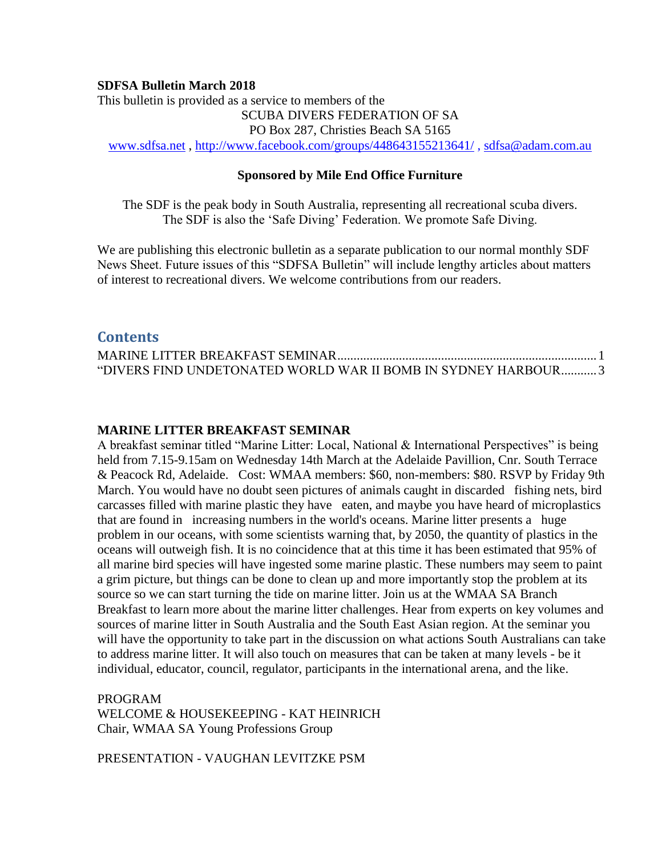#### **SDFSA Bulletin March 2018**

This bulletin is provided as a service to members of the SCUBA DIVERS FEDERATION OF SA PO Box 287, Christies Beach SA 5165 [www.sdfsa.net](http://www.sdfsa.net/) ,<http://www.facebook.com/groups/448643155213641/> , [sdfsa@adam.com.au](mailto:sdfsa@adam.com.au)

#### **Sponsored by Mile End Office Furniture**

The SDF is the peak body in South Australia, representing all recreational scuba divers. The SDF is also the 'Safe Diving' Federation. We promote Safe Diving.

We are publishing this electronic bulletin as a separate publication to our normal monthly SDF News Sheet. Future issues of this "SDFSA Bulletin" will include lengthy articles about matters of interest to recreational divers. We welcome contributions from our readers.

### **Contents**

| "DIVERS FIND UNDETONATED WORLD WAR II BOMB IN SYDNEY HARBOUR3 |  |
|---------------------------------------------------------------|--|

#### <span id="page-0-0"></span>**MARINE LITTER BREAKFAST SEMINAR**

A breakfast seminar titled "Marine Litter: Local, National & International Perspectives" is being held from 7.15-9.15am on Wednesday 14th March at the Adelaide Pavillion, Cnr. South Terrace & Peacock Rd, Adelaide. Cost: WMAA members: \$60, non-members: \$80. RSVP by Friday 9th March. You would have no doubt seen pictures of animals caught in discarded fishing nets, bird carcasses filled with marine plastic they have eaten, and maybe you have heard of microplastics that are found in increasing numbers in the world's oceans. Marine litter presents a huge problem in our oceans, with some scientists warning that, by 2050, the quantity of plastics in the oceans will outweigh fish. It is no coincidence that at this time it has been estimated that 95% of all marine bird species will have ingested some marine plastic. These numbers may seem to paint a grim picture, but things can be done to clean up and more importantly stop the problem at its source so we can start turning the tide on marine litter. Join us at the WMAA SA Branch Breakfast to learn more about the marine litter challenges. Hear from experts on key volumes and sources of marine litter in South Australia and the South East Asian region. At the seminar you will have the opportunity to take part in the discussion on what actions South Australians can take to address marine litter. It will also touch on measures that can be taken at many levels - be it individual, educator, council, regulator, participants in the international arena, and the like.

PROGRAM WELCOME & HOUSEKEEPING - KAT HEINRICH Chair, WMAA SA Young Professions Group

PRESENTATION - VAUGHAN LEVITZKE PSM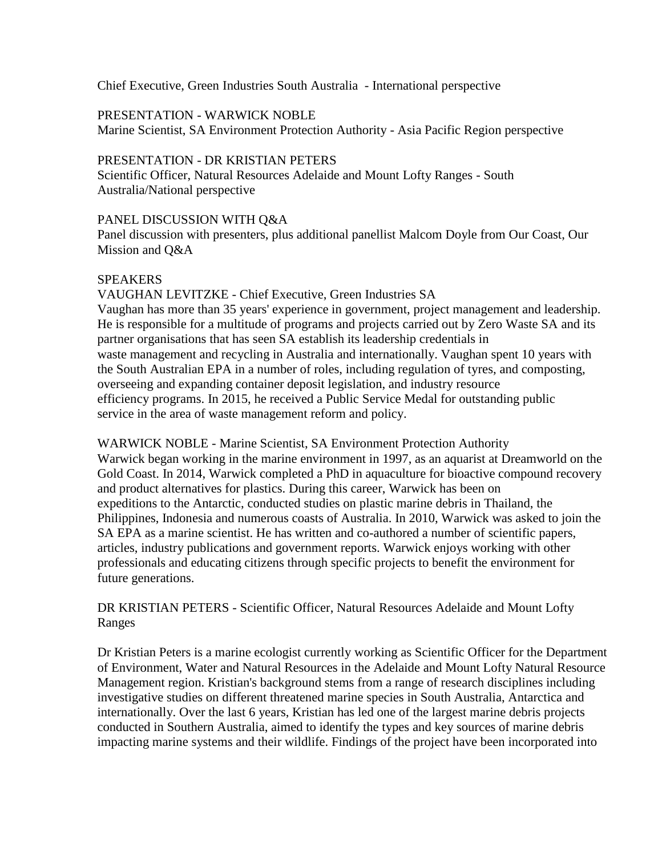Chief Executive, Green Industries South Australia - International perspective

### PRESENTATION - WARWICK NOBLE

Marine Scientist, SA Environment Protection Authority - Asia Pacific Region perspective

### PRESENTATION - DR KRISTIAN PETERS

Scientific Officer, Natural Resources Adelaide and Mount Lofty Ranges - South Australia/National perspective

### PANEL DISCUSSION WITH Q&A

Panel discussion with presenters, plus additional panellist Malcom Doyle from Our Coast, Our Mission and Q&A

# SPEAKERS

VAUGHAN LEVITZKE - Chief Executive, Green Industries SA Vaughan has more than 35 years' experience in government, project management and leadership. He is responsible for a multitude of programs and projects carried out by Zero Waste SA and its partner organisations that has seen SA establish its leadership credentials in waste management and recycling in Australia and internationally. Vaughan spent 10 years with the South Australian EPA in a number of roles, including regulation of tyres, and composting, overseeing and expanding container deposit legislation, and industry resource efficiency programs. In 2015, he received a Public Service Medal for outstanding public service in the area of waste management reform and policy.

WARWICK NOBLE - Marine Scientist, SA Environment Protection Authority Warwick began working in the marine environment in 1997, as an aquarist at Dreamworld on the Gold Coast. In 2014, Warwick completed a PhD in aquaculture for bioactive compound recovery and product alternatives for plastics. During this career, Warwick has been on expeditions to the Antarctic, conducted studies on plastic marine debris in Thailand, the Philippines, Indonesia and numerous coasts of Australia. In 2010, Warwick was asked to join the SA EPA as a marine scientist. He has written and co-authored a number of scientific papers, articles, industry publications and government reports. Warwick enjoys working with other professionals and educating citizens through specific projects to benefit the environment for future generations.

DR KRISTIAN PETERS - Scientific Officer, Natural Resources Adelaide and Mount Lofty Ranges

Dr Kristian Peters is a marine ecologist currently working as Scientific Officer for the Department of Environment, Water and Natural Resources in the Adelaide and Mount Lofty Natural Resource Management region. Kristian's background stems from a range of research disciplines including investigative studies on different threatened marine species in South Australia, Antarctica and internationally. Over the last 6 years, Kristian has led one of the largest marine debris projects conducted in Southern Australia, aimed to identify the types and key sources of marine debris impacting marine systems and their wildlife. Findings of the project have been incorporated into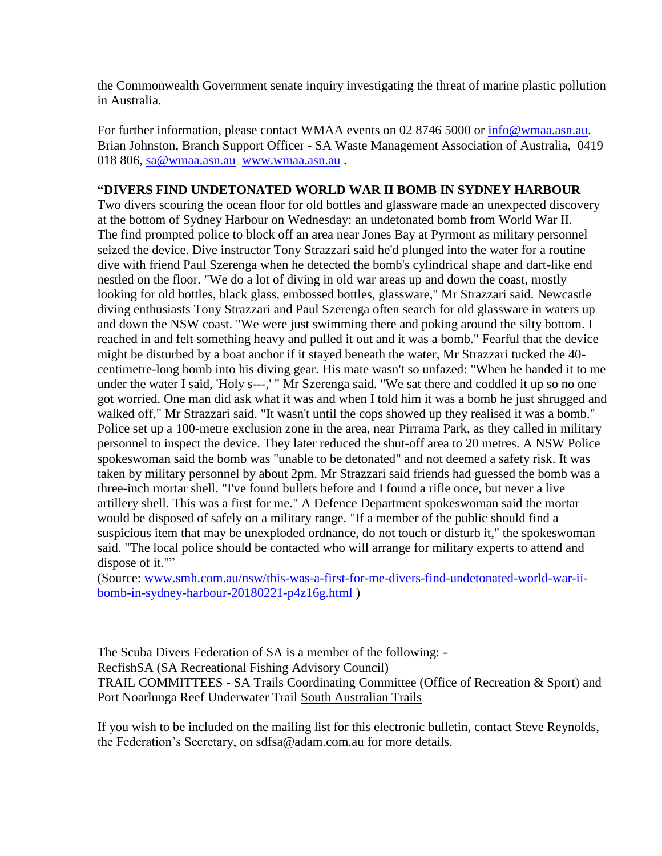the Commonwealth Government senate inquiry investigating the threat of marine plastic pollution in Australia.

For further information, please contact WMAA events on 02 8746 5000 or [info@wmaa.asn.au.](mailto:info@wmaa.asn.au) Brian Johnston, Branch Support Officer - SA Waste Management Association of Australia, 0419 018 806, [sa@wmaa.asn.au](mailto:sa@wmaa.asn.au) [www.wmaa.asn.au](http://www.wmaa.asn.au/).

# <span id="page-2-0"></span>**"DIVERS FIND UNDETONATED WORLD WAR II BOMB IN SYDNEY HARBOUR**

Two divers scouring the ocean floor for old bottles and glassware made an unexpected discovery at the bottom of Sydney Harbour on Wednesday: an undetonated bomb from World War II. The find prompted police to block off an area near Jones Bay at Pyrmont as military personnel seized the device. Dive instructor Tony Strazzari said he'd plunged into the water for a routine dive with friend Paul Szerenga when he detected the bomb's cylindrical shape and dart-like end nestled on the floor. "We do a lot of diving in old war areas up and down the coast, mostly looking for old bottles, black glass, embossed bottles, glassware," Mr Strazzari said. Newcastle diving enthusiasts Tony Strazzari and Paul Szerenga often search for old glassware in waters up and down the NSW coast. "We were just swimming there and poking around the silty bottom. I reached in and felt something heavy and pulled it out and it was a bomb." Fearful that the device might be disturbed by a boat anchor if it stayed beneath the water, Mr Strazzari tucked the 40 centimetre-long bomb into his diving gear. His mate wasn't so unfazed: "When he handed it to me under the water I said, 'Holy s---,' " Mr Szerenga said. "We sat there and coddled it up so no one got worried. One man did ask what it was and when I told him it was a bomb he just shrugged and walked off," Mr Strazzari said. "It wasn't until the cops showed up they realised it was a bomb." Police set up a 100-metre exclusion zone in the area, near Pirrama Park, as they called in military personnel to inspect the device. They later reduced the shut-off area to 20 metres. A NSW Police spokeswoman said the bomb was "unable to be detonated" and not deemed a safety risk. It was taken by military personnel by about 2pm. Mr Strazzari said friends had guessed the bomb was a three-inch mortar shell. "I've found bullets before and I found a rifle once, but never a live artillery shell. This was a first for me." A Defence Department spokeswoman said the mortar would be disposed of safely on a military range. "If a member of the public should find a suspicious item that may be unexploded ordnance, do not touch or disturb it," the spokeswoman said. "The local police should be contacted who will arrange for military experts to attend and dispose of it.""

(Source: [www.smh.com.au/nsw/this-was-a-first-for-me-divers-find-undetonated-world-war-ii](http://www.smh.com.au/nsw/this-was-a-first-for-me-divers-find-undetonated-world-war-ii-bomb-in-sydney-harbour-20180221-p4z16g.html)[bomb-in-sydney-harbour-20180221-p4z16g.html](http://www.smh.com.au/nsw/this-was-a-first-for-me-divers-find-undetonated-world-war-ii-bomb-in-sydney-harbour-20180221-p4z16g.html) )

The Scuba Divers Federation of SA is a member of the following: -

RecfishSA (SA Recreational Fishing Advisory Council)

TRAIL COMMITTEES - SA Trails Coordinating Committee (Office of Recreation & Sport) and Port Noarlunga Reef Underwater Trail [South Australian Trails](http://www.southaustraliantrails.com/)

If you wish to be included on the mailing list for this electronic bulletin, contact Steve Reynolds, the Federation's Secretary, on [sdfsa@adam.com.au](mailto:sdfsa@adam.com.au) for more details.